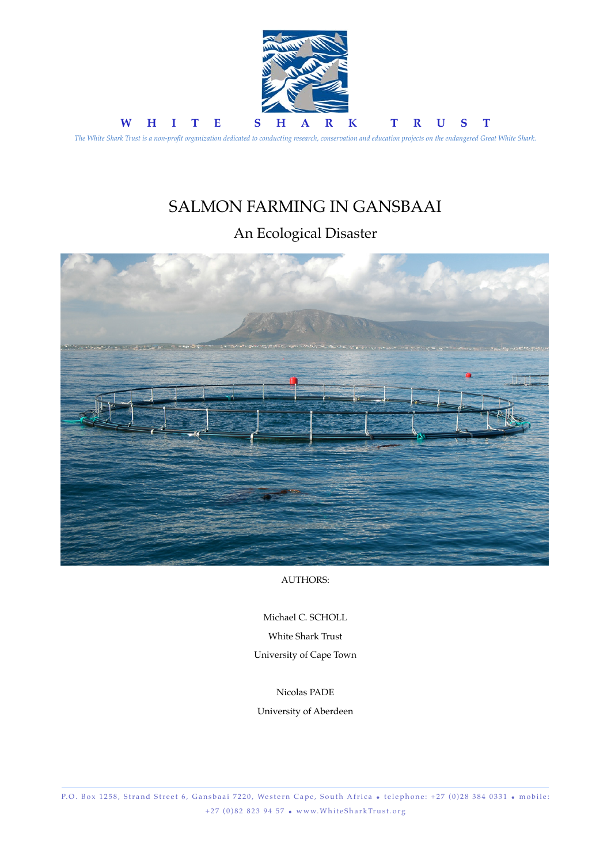

# SALMON FARMING IN GANSBAAI

## An Ecological Disaster



AUTHORS:

Michael C. SCHOLL White Shark Trust University of Cape Town

Nicolas PADE

University of Aberdeen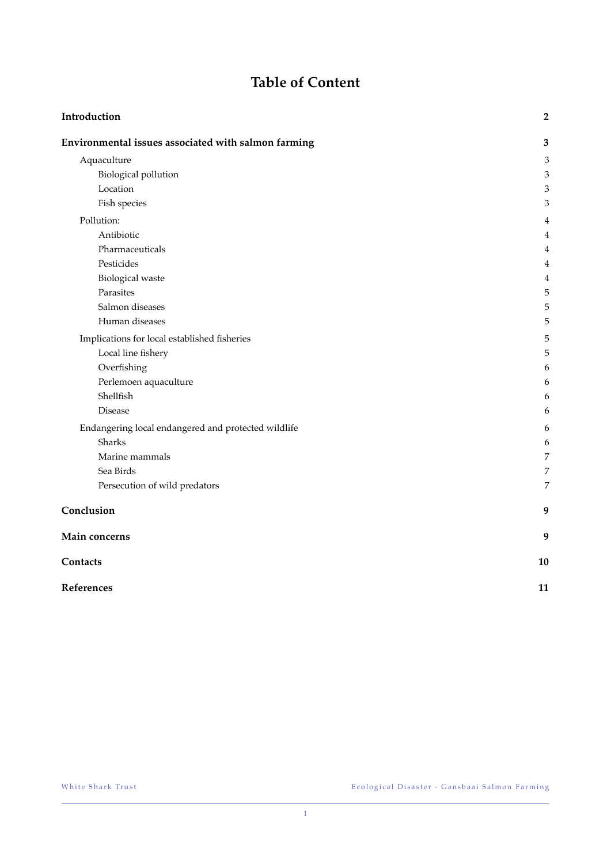## **Table of Content**

| Introduction                                        | $\mathbf 2$    |
|-----------------------------------------------------|----------------|
| Environmental issues associated with salmon farming | 3              |
| Aquaculture                                         | $\mathfrak{Z}$ |
| <b>Biological pollution</b>                         | $\mathfrak{Z}$ |
| Location                                            | 3              |
| Fish species                                        | 3              |
| Pollution:                                          | 4              |
| Antibiotic                                          | 4              |
| Pharmaceuticals                                     | 4              |
| Pesticides                                          | 4              |
| <b>Biological</b> waste                             | $\overline{4}$ |
| Parasites                                           | 5              |
| Salmon diseases                                     | 5              |
| Human diseases                                      | 5              |
| Implications for local established fisheries        | 5              |
| Local line fishery                                  | 5              |
| Overfishing                                         | 6              |
| Perlemoen aquaculture                               | 6              |
| Shellfish                                           | 6              |
| Disease                                             | 6              |
| Endangering local endangered and protected wildlife | 6              |
| Sharks                                              | 6              |
| Marine mammals                                      | 7              |
| Sea Birds                                           | 7              |
| Persecution of wild predators                       | 7              |
| Conclusion                                          | 9              |
| Main concerns                                       | 9              |
| Contacts                                            | 10             |
| References                                          | 11             |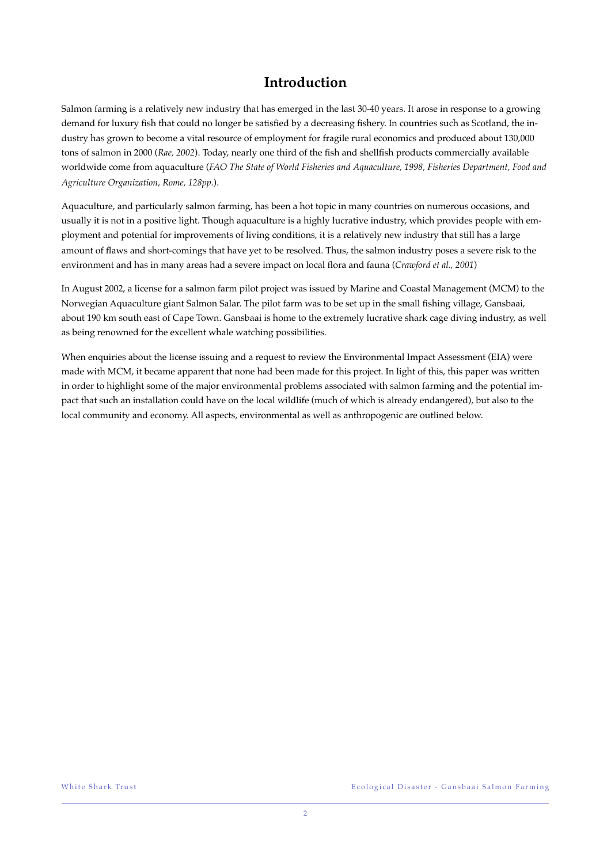### **Introduction**

Salmon farming is a relatively new industry that has emerged in the last 30-40 years. It arose in response to a growing demand for luxury fish that could no longer be satisfied by a decreasing fishery. In countries such as Scotland, the industry has grown to become a vital resource of employment for fragile rural economics and produced about 130,000 tons of salmon in 2000 (*Rae, 2002*). Today, nearly one third of the fish and shellfish products commercially available worldwide come from aquaculture (*FAO The State of World Fisheries and Aquaculture, 1998, Fisheries Department, Food and Agriculture Organization, Rome, 128pp.*).

Aquaculture, and particularly salmon farming, has been a hot topic in many countries on numerous occasions, and usually it is not in a positive light. Though aquaculture is a highly lucrative industry, which provides people with employment and potential for improvements of living conditions, it is a relatively new industry that still has a large amount of flaws and short-comings that have yet to be resolved. Thus, the salmon industry poses a severe risk to the environment and has in many areas had a severe impact on local flora and fauna (*Crawford et al., 2001*)

In August 2002, a license for a salmon farm pilot project was issued by Marine and Coastal Management (MCM) to the Norwegian Aquaculture giant Salmon Salar. The pilot farm was to be set up in the small fishing village, Gansbaai, about 190 km south east of Cape Town. Gansbaai is home to the extremely lucrative shark cage diving industry, as well as being renowned for the excellent whale watching possibilities.

When enquiries about the license issuing and a request to review the Environmental Impact Assessment (EIA) were made with MCM, it became apparent that none had been made for this project. In light of this, this paper was written in order to highlight some of the major environmental problems associated with salmon farming and the potential impact that such an installation could have on the local wildlife (much of which is already endangered), but also to the local community and economy. All aspects, environmental as well as anthropogenic are outlined below.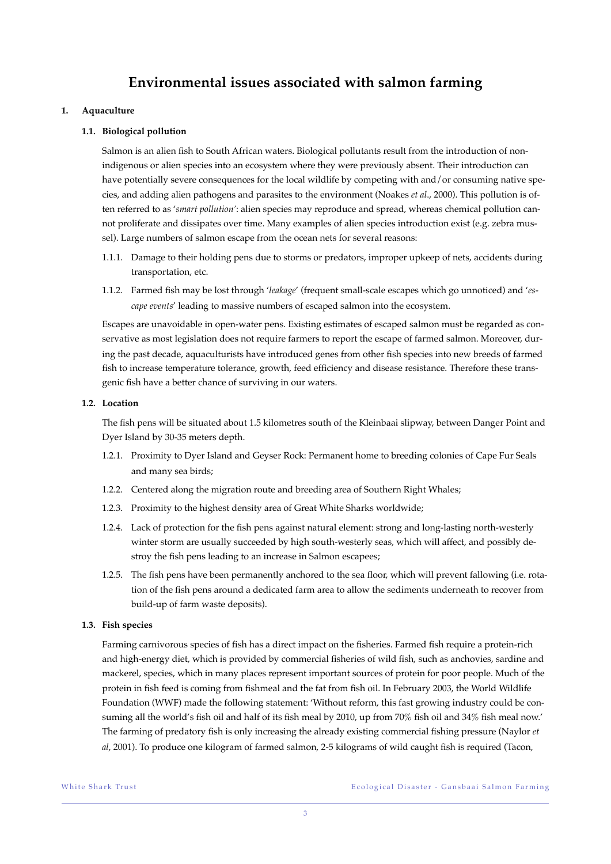### **Environmental issues associated with salmon farming**

#### **1. Aquaculture**

#### **1.1. Biological pollution**

Salmon is an alien fish to South African waters. Biological pollutants result from the introduction of nonindigenous or alien species into an ecosystem where they were previously absent. Their introduction can have potentially severe consequences for the local wildlife by competing with and/or consuming native species, and adding alien pathogens and parasites to the environment (Noakes *et al*., 2000). This pollution is often referred to as '*smart pollution'*: alien species may reproduce and spread, whereas chemical pollution cannot proliferate and dissipates over time. Many examples of alien species introduction exist (e.g. zebra mussel). Large numbers of salmon escape from the ocean nets for several reasons:

- 1.1.1. Damage to their holding pens due to storms or predators, improper upkeep of nets, accidents during transportation, etc.
- 1.1.2. Farmed fish may be lost through '*leakage*' (frequent small-scale escapes which go unnoticed) and '*escape events*' leading to massive numbers of escaped salmon into the ecosystem.

Escapes are unavoidable in open-water pens. Existing estimates of escaped salmon must be regarded as conservative as most legislation does not require farmers to report the escape of farmed salmon. Moreover, during the past decade, aquaculturists have introduced genes from other fish species into new breeds of farmed fish to increase temperature tolerance, growth, feed efficiency and disease resistance. Therefore these transgenic fish have a better chance of surviving in our waters.

#### **1.2. Location**

The fish pens will be situated about 1.5 kilometres south of the Kleinbaai slipway, between Danger Point and Dyer Island by 30-35 meters depth.

- 1.2.1. Proximity to Dyer Island and Geyser Rock: Permanent home to breeding colonies of Cape Fur Seals and many sea birds;
- 1.2.2. Centered along the migration route and breeding area of Southern Right Whales;
- 1.2.3. Proximity to the highest density area of Great White Sharks worldwide;
- 1.2.4. Lack of protection for the fish pens against natural element: strong and long-lasting north-westerly winter storm are usually succeeded by high south-westerly seas, which will affect, and possibly destroy the fish pens leading to an increase in Salmon escapees;
- 1.2.5. The fish pens have been permanently anchored to the sea floor, which will prevent fallowing (i.e. rotation of the fish pens around a dedicated farm area to allow the sediments underneath to recover from build-up of farm waste deposits).

#### **1.3. Fish species**

Farming carnivorous species of fish has a direct impact on the fisheries. Farmed fish require a protein-rich and high-energy diet, which is provided by commercial fisheries of wild fish, such as anchovies, sardine and mackerel, species, which in many places represent important sources of protein for poor people. Much of the protein in fish feed is coming from fishmeal and the fat from fish oil. In February 2003, the World Wildlife Foundation (WWF) made the following statement: 'Without reform, this fast growing industry could be consuming all the world's fish oil and half of its fish meal by 2010, up from 70% fish oil and 34% fish meal now.' The farming of predatory fish is only increasing the already existing commercial fishing pressure (Naylor *et al*, 2001). To produce one kilogram of farmed salmon, 2-5 kilograms of wild caught fish is required (Tacon,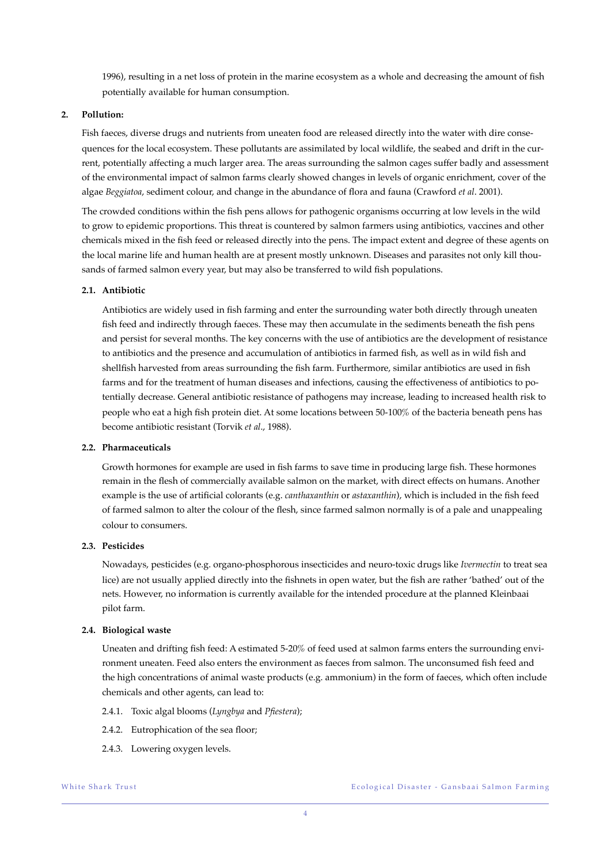1996), resulting in a net loss of protein in the marine ecosystem as a whole and decreasing the amount of fish potentially available for human consumption.

#### **2. Pollution:**

Fish faeces, diverse drugs and nutrients from uneaten food are released directly into the water with dire consequences for the local ecosystem. These pollutants are assimilated by local wildlife, the seabed and drift in the current, potentially affecting a much larger area. The areas surrounding the salmon cages suffer badly and assessment of the environmental impact of salmon farms clearly showed changes in levels of organic enrichment, cover of the algae *Beggiatoa*, sediment colour, and change in the abundance of flora and fauna (Crawford *et al*. 2001).

The crowded conditions within the fish pens allows for pathogenic organisms occurring at low levels in the wild to grow to epidemic proportions. This threat is countered by salmon farmers using antibiotics, vaccines and other chemicals mixed in the fish feed or released directly into the pens. The impact extent and degree of these agents on the local marine life and human health are at present mostly unknown. Diseases and parasites not only kill thousands of farmed salmon every year, but may also be transferred to wild fish populations.

#### **2.1. Antibiotic**

Antibiotics are widely used in fish farming and enter the surrounding water both directly through uneaten fish feed and indirectly through faeces. These may then accumulate in the sediments beneath the fish pens and persist for several months. The key concerns with the use of antibiotics are the development of resistance to antibiotics and the presence and accumulation of antibiotics in farmed fish, as well as in wild fish and shellfish harvested from areas surrounding the fish farm. Furthermore, similar antibiotics are used in fish farms and for the treatment of human diseases and infections, causing the effectiveness of antibiotics to potentially decrease. General antibiotic resistance of pathogens may increase, leading to increased health risk to people who eat a high fish protein diet. At some locations between 50-100% of the bacteria beneath pens has become antibiotic resistant (Torvik *et al*., 1988).

#### **2.2. Pharmaceuticals**

Growth hormones for example are used in fish farms to save time in producing large fish. These hormones remain in the flesh of commercially available salmon on the market, with direct effects on humans. Another example is the use of artificial colorants (e.g. *canthaxanthin* or *astaxanthin*), which is included in the fish feed of farmed salmon to alter the colour of the flesh, since farmed salmon normally is of a pale and unappealing colour to consumers.

#### **2.3. Pesticides**

Nowadays, pesticides (e.g. organo-phosphorous insecticides and neuro-toxic drugs like *Ivermectin* to treat sea lice) are not usually applied directly into the fishnets in open water, but the fish are rather 'bathed' out of the nets. However, no information is currently available for the intended procedure at the planned Kleinbaai pilot farm.

#### **2.4. Biological waste**

Uneaten and drifting fish feed: A estimated 5-20% of feed used at salmon farms enters the surrounding environment uneaten. Feed also enters the environment as faeces from salmon. The unconsumed fish feed and the high concentrations of animal waste products (e.g. ammonium) in the form of faeces, which often include chemicals and other agents, can lead to:

- 2.4.1. Toxic algal blooms (*Lyngbya* and *Pfiestera*);
- 2.4.2. Eutrophication of the sea floor;
- 2.4.3. Lowering oxygen levels.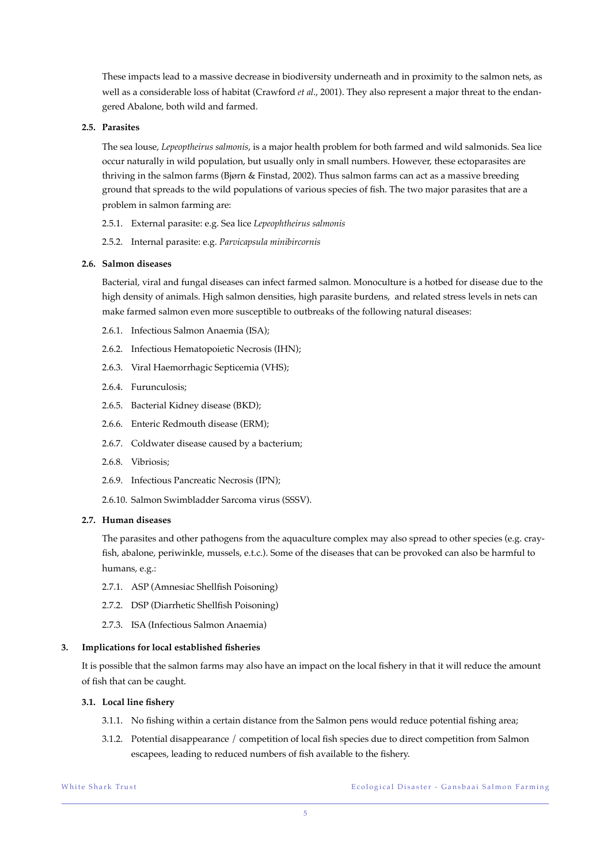These impacts lead to a massive decrease in biodiversity underneath and in proximity to the salmon nets, as well as a considerable loss of habitat (Crawford *et al*., 2001). They also represent a major threat to the endangered Abalone, both wild and farmed.

#### **2.5. Parasites**

The sea louse, *Lepeoptheirus salmonis*, is a major health problem for both farmed and wild salmonids. Sea lice occur naturally in wild population, but usually only in small numbers. However, these ectoparasites are thriving in the salmon farms (Bjørn & Finstad, 2002). Thus salmon farms can act as a massive breeding ground that spreads to the wild populations of various species of fish. The two major parasites that are a problem in salmon farming are:

- 2.5.1. External parasite: e.g. Sea lice *Lepeophtheirus salmonis*
- 2.5.2. Internal parasite: e.g. *Parvicapsula minibircornis*

#### **2.6. Salmon diseases**

Bacterial, viral and fungal diseases can infect farmed salmon. Monoculture is a hotbed for disease due to the high density of animals. High salmon densities, high parasite burdens, and related stress levels in nets can make farmed salmon even more susceptible to outbreaks of the following natural diseases:

- 2.6.1. Infectious Salmon Anaemia (ISA);
- 2.6.2. Infectious Hematopoietic Necrosis (IHN);
- 2.6.3. Viral Haemorrhagic Septicemia (VHS);
- 2.6.4. Furunculosis;
- 2.6.5. Bacterial Kidney disease (BKD);
- 2.6.6. Enteric Redmouth disease (ERM);
- 2.6.7. Coldwater disease caused by a bacterium;
- 2.6.8. Vibriosis;
- 2.6.9. Infectious Pancreatic Necrosis (IPN);
- 2.6.10. Salmon Swimbladder Sarcoma virus (SSSV).

#### **2.7. Human diseases**

The parasites and other pathogens from the aquaculture complex may also spread to other species (e.g. crayfish, abalone, periwinkle, mussels, e.t.c.). Some of the diseases that can be provoked can also be harmful to humans, e.g.:

- 2.7.1. ASP (Amnesiac Shellfish Poisoning)
- 2.7.2. DSP (Diarrhetic Shellfish Poisoning)
- 2.7.3. ISA (Infectious Salmon Anaemia)

#### **3. Implications for local established fisheries**

It is possible that the salmon farms may also have an impact on the local fishery in that it will reduce the amount of fish that can be caught.

#### **3.1. Local line fishery**

- 3.1.1. No fishing within a certain distance from the Salmon pens would reduce potential fishing area;
- 3.1.2. Potential disappearance / competition of local fish species due to direct competition from Salmon escapees, leading to reduced numbers of fish available to the fishery.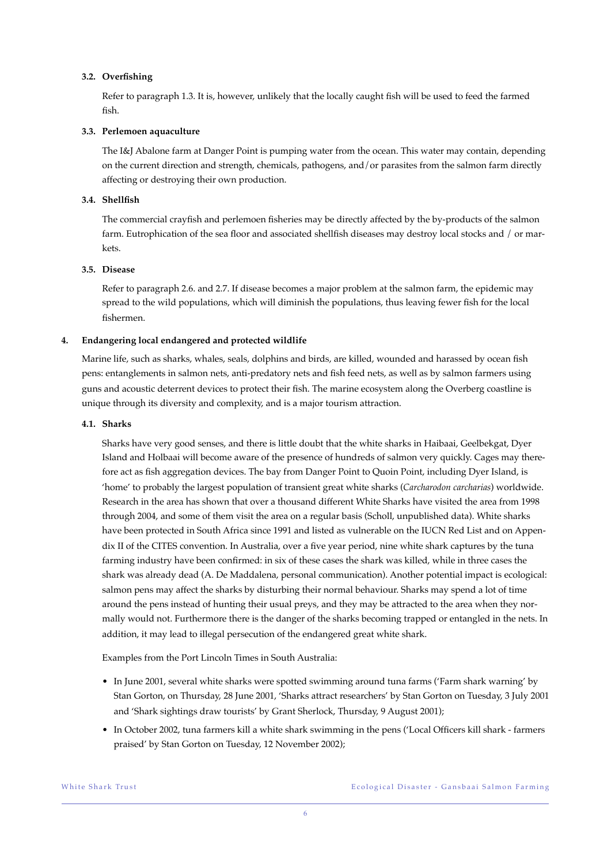#### **3.2. Overfishing**

Refer to paragraph 1.3. It is, however, unlikely that the locally caught fish will be used to feed the farmed fish.

#### **3.3. Perlemoen aquaculture**

The I&J Abalone farm at Danger Point is pumping water from the ocean. This water may contain, depending on the current direction and strength, chemicals, pathogens, and/or parasites from the salmon farm directly affecting or destroying their own production.

#### **3.4. Shellfish**

The commercial crayfish and perlemoen fisheries may be directly affected by the by-products of the salmon farm. Eutrophication of the sea floor and associated shellfish diseases may destroy local stocks and / or markets.

#### **3.5. Disease**

Refer to paragraph 2.6. and 2.7. If disease becomes a major problem at the salmon farm, the epidemic may spread to the wild populations, which will diminish the populations, thus leaving fewer fish for the local fishermen.

#### **4. Endangering local endangered and protected wildlife**

Marine life, such as sharks, whales, seals, dolphins and birds, are killed, wounded and harassed by ocean fish pens: entanglements in salmon nets, anti-predatory nets and fish feed nets, as well as by salmon farmers using guns and acoustic deterrent devices to protect their fish. The marine ecosystem along the Overberg coastline is unique through its diversity and complexity, and is a major tourism attraction.

#### **4.1. Sharks**

Sharks have very good senses, and there is little doubt that the white sharks in Haibaai, Geelbekgat, Dyer Island and Holbaai will become aware of the presence of hundreds of salmon very quickly. Cages may therefore act as fish aggregation devices. The bay from Danger Point to Quoin Point, including Dyer Island, is 'home' to probably the largest population of transient great white sharks (*Carcharodon carcharias*) worldwide. Research in the area has shown that over a thousand different White Sharks have visited the area from 1998 through 2004, and some of them visit the area on a regular basis (Scholl, unpublished data). White sharks have been protected in South Africa since 1991 and listed as vulnerable on the IUCN Red List and on Appendix II of the CITES convention. In Australia, over a five year period, nine white shark captures by the tuna farming industry have been confirmed: in six of these cases the shark was killed, while in three cases the shark was already dead (A. De Maddalena, personal communication). Another potential impact is ecological: salmon pens may affect the sharks by disturbing their normal behaviour. Sharks may spend a lot of time around the pens instead of hunting their usual preys, and they may be attracted to the area when they normally would not. Furthermore there is the danger of the sharks becoming trapped or entangled in the nets. In addition, it may lead to illegal persecution of the endangered great white shark.

Examples from the Port Lincoln Times in South Australia:

- In June 2001, several white sharks were spotted swimming around tuna farms ('Farm shark warning' by Stan Gorton, on Thursday, 28 June 2001, 'Sharks attract researchers' by Stan Gorton on Tuesday, 3 July 2001 and 'Shark sightings draw tourists' by Grant Sherlock, Thursday, 9 August 2001);
- In October 2002, tuna farmers kill a white shark swimming in the pens ('Local Officers kill shark farmers praised' by Stan Gorton on Tuesday, 12 November 2002);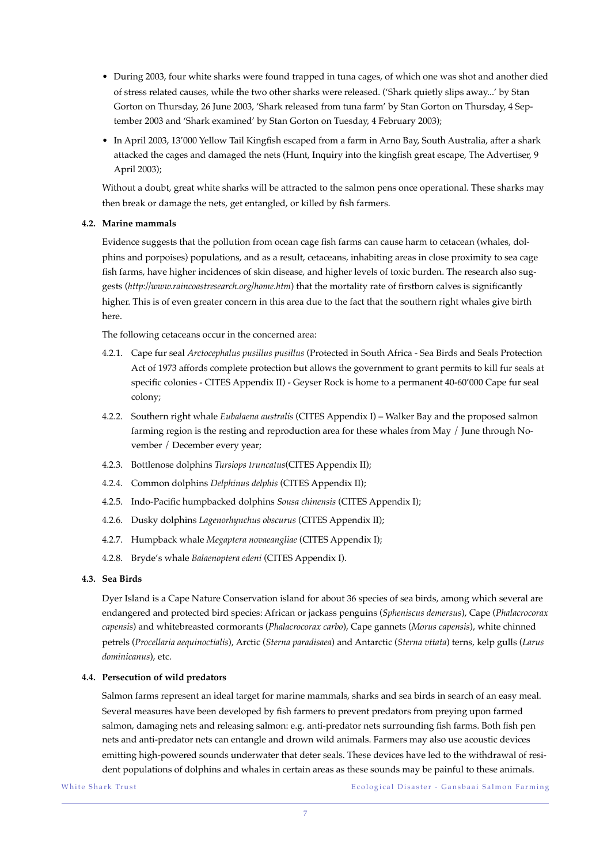- During 2003, four white sharks were found trapped in tuna cages, of which one was shot and another died of stress related causes, while the two other sharks were released. ('Shark quietly slips away...' by Stan Gorton on Thursday, 26 June 2003, 'Shark released from tuna farm' by Stan Gorton on Thursday, 4 September 2003 and 'Shark examined' by Stan Gorton on Tuesday, 4 February 2003);
- In April 2003, 13'000 Yellow Tail Kingfish escaped from a farm in Arno Bay, South Australia, after a shark attacked the cages and damaged the nets (Hunt, Inquiry into the kingfish great escape, The Advertiser, 9 April 2003);

Without a doubt, great white sharks will be attracted to the salmon pens once operational. These sharks may then break or damage the nets, get entangled, or killed by fish farmers.

#### **4.2. Marine mammals**

Evidence suggests that the pollution from ocean cage fish farms can cause harm to cetacean (whales, dolphins and porpoises) populations, and as a result, cetaceans, inhabiting areas in close proximity to sea cage fish farms, have higher incidences of skin disease, and higher levels of toxic burden. The research also suggests (*http://www.raincoastresearch.org/home.htm*) that the mortality rate of firstborn calves is significantly higher. This is of even greater concern in this area due to the fact that the southern right whales give birth here.

The following cetaceans occur in the concerned area:

- 4.2.1. Cape fur seal *Arctocephalus pusillus pusillus* (Protected in South Africa Sea Birds and Seals Protection Act of 1973 affords complete protection but allows the government to grant permits to kill fur seals at specific colonies - CITES Appendix II) - Geyser Rock is home to a permanent 40-60'000 Cape fur seal colony;
- 4.2.2. Southern right whale *Eubalaena australis* (CITES Appendix I) Walker Bay and the proposed salmon farming region is the resting and reproduction area for these whales from May / June through November / December every year;
- 4.2.3. Bottlenose dolphins *Tursiops truncatus*(CITES Appendix II);
- 4.2.4. Common dolphins *Delphinus delphis* (CITES Appendix II);
- 4.2.5. Indo-Pacific humpbacked dolphins *Sousa chinensis* (CITES Appendix I);
- 4.2.6. Dusky dolphins *Lagenorhynchus obscurus* (CITES Appendix II);
- 4.2.7. Humpback whale *Megaptera novaeangliae* (CITES Appendix I);
- 4.2.8. Bryde's whale *Balaenoptera edeni* (CITES Appendix I).

#### **4.3. Sea Birds**

Dyer Island is a Cape Nature Conservation island for about 36 species of sea birds, among which several are endangered and protected bird species: African or jackass penguins (*Spheniscus demersus*), Cape (*Phalacrocorax capensis*) and whitebreasted cormorants (*Phalacrocorax carbo*), Cape gannets (*Morus capensis*), white chinned petrels (*Procellaria aequinoctialis*), Arctic (*Sterna paradisaea*) and Antarctic (*Sterna vttata*) terns, kelp gulls (*Larus dominicanus*), etc.

#### **4.4. Persecution of wild predators**

Salmon farms represent an ideal target for marine mammals, sharks and sea birds in search of an easy meal. Several measures have been developed by fish farmers to prevent predators from preying upon farmed salmon, damaging nets and releasing salmon: e.g. anti-predator nets surrounding fish farms. Both fish pen nets and anti-predator nets can entangle and drown wild animals. Farmers may also use acoustic devices emitting high-powered sounds underwater that deter seals. These devices have led to the withdrawal of resident populations of dolphins and whales in certain areas as these sounds may be painful to these animals.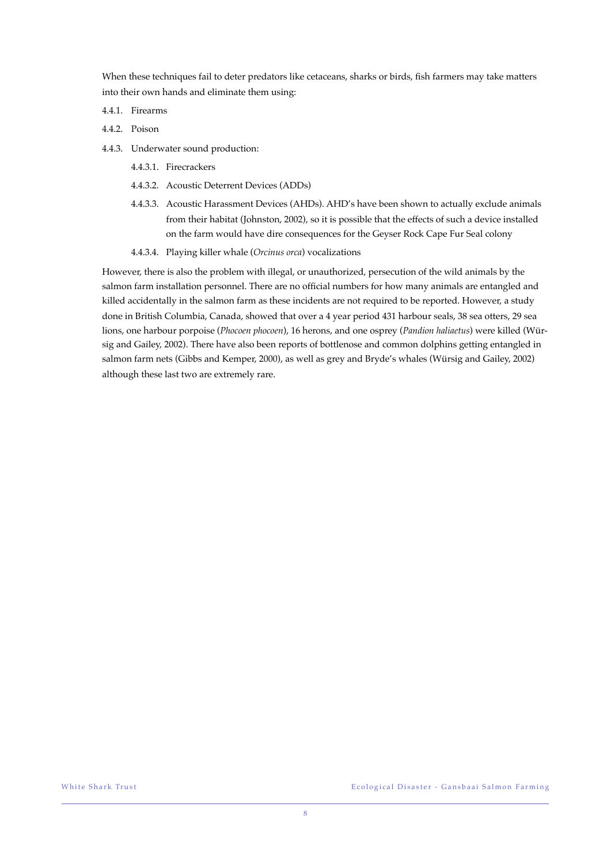When these techniques fail to deter predators like cetaceans, sharks or birds, fish farmers may take matters into their own hands and eliminate them using:

- 4.4.1. Firearms
- 4.4.2. Poison
- 4.4.3. Underwater sound production:
	- 4.4.3.1. Firecrackers
	- 4.4.3.2. Acoustic Deterrent Devices (ADDs)
	- 4.4.3.3. Acoustic Harassment Devices (AHDs). AHD's have been shown to actually exclude animals from their habitat (Johnston, 2002), so it is possible that the effects of such a device installed on the farm would have dire consequences for the Geyser Rock Cape Fur Seal colony
	- 4.4.3.4. Playing killer whale (*Orcinus orca*) vocalizations

However, there is also the problem with illegal, or unauthorized, persecution of the wild animals by the salmon farm installation personnel. There are no official numbers for how many animals are entangled and killed accidentally in the salmon farm as these incidents are not required to be reported. However, a study done in British Columbia, Canada, showed that over a 4 year period 431 harbour seals, 38 sea otters, 29 sea lions, one harbour porpoise (*Phocoen phocoen*), 16 herons, and one osprey (*Pandion haliaetus*) were killed (Würsig and Gailey, 2002). There have also been reports of bottlenose and common dolphins getting entangled in salmon farm nets (Gibbs and Kemper, 2000), as well as grey and Bryde's whales (Würsig and Gailey, 2002) although these last two are extremely rare.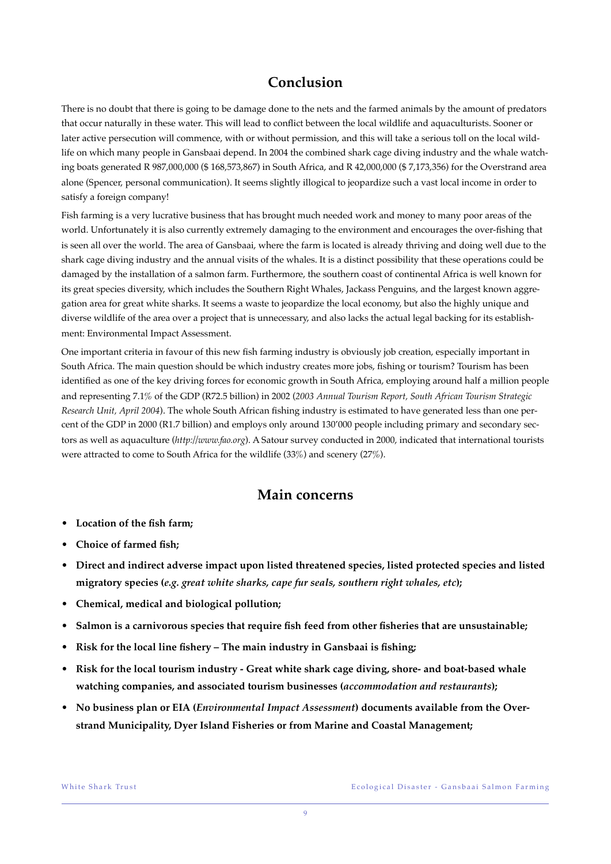### **Conclusion**

There is no doubt that there is going to be damage done to the nets and the farmed animals by the amount of predators that occur naturally in these water. This will lead to conflict between the local wildlife and aquaculturists. Sooner or later active persecution will commence, with or without permission, and this will take a serious toll on the local wildlife on which many people in Gansbaai depend. In 2004 the combined shark cage diving industry and the whale watching boats generated R 987,000,000 (\$ 168,573,867) in South Africa, and R 42,000,000 (\$ 7,173,356) for the Overstrand area alone (Spencer, personal communication). It seems slightly illogical to jeopardize such a vast local income in order to satisfy a foreign company!

Fish farming is a very lucrative business that has brought much needed work and money to many poor areas of the world. Unfortunately it is also currently extremely damaging to the environment and encourages the over-fishing that is seen all over the world. The area of Gansbaai, where the farm is located is already thriving and doing well due to the shark cage diving industry and the annual visits of the whales. It is a distinct possibility that these operations could be damaged by the installation of a salmon farm. Furthermore, the southern coast of continental Africa is well known for its great species diversity, which includes the Southern Right Whales, Jackass Penguins, and the largest known aggregation area for great white sharks. It seems a waste to jeopardize the local economy, but also the highly unique and diverse wildlife of the area over a project that is unnecessary, and also lacks the actual legal backing for its establishment: Environmental Impact Assessment.

One important criteria in favour of this new fish farming industry is obviously job creation, especially important in South Africa. The main question should be which industry creates more jobs, fishing or tourism? Tourism has been identified as one of the key driving forces for economic growth in South Africa, employing around half a million people and representing 7.1% of the GDP (R72.5 billion) in 2002 (*2003 Annual Tourism Report, South African Tourism Strategic Research Unit, April 2004*). The whole South African fishing industry is estimated to have generated less than one percent of the GDP in 2000 (R1.7 billion) and employs only around 130'000 people including primary and secondary sectors as well as aquaculture (*http://www.fao.org*). A Satour survey conducted in 2000, indicated that international tourists were attracted to come to South Africa for the wildlife (33%) and scenery (27%).

### **Main concerns**

- **Location of the fish farm;**
- **Choice of farmed fish;**
- **Direct and indirect adverse impact upon listed threatened species, listed protected species and listed migratory species (***e.g. great white sharks, cape fur seals, southern right whales, etc***);**
- **Chemical, medical and biological pollution;**
- **Salmon is a carnivorous species that require fish feed from other fisheries that are unsustainable;**
- **Risk for the local line fishery The main industry in Gansbaai is fishing;**
- **Risk for the local tourism industry Great white shark cage diving, shore- and boat-based whale watching companies, and associated tourism businesses (***accommodation and restaurants***);**
- **No business plan or EIA (***Environmental Impact Assessment***) documents available from the Overstrand Municipality, Dyer Island Fisheries or from Marine and Coastal Management;**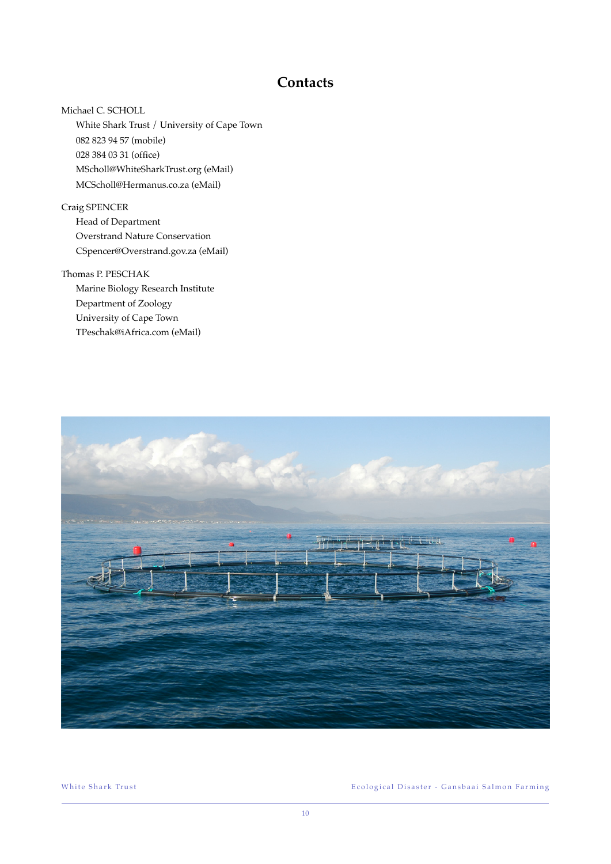### **Contacts**

Michael C. SCHOLL White Shark Trust / University of Cape Town 082 823 94 57 (mobile) 028 384 03 31 (office) MScholl@WhiteSharkTrust.org (eMail) MCScholl@Hermanus.co.za (eMail)

Craig SPENCER Head of Department Overstrand Nature Conservation CSpencer@Overstrand.gov.za (eMail)

Thomas P. PESCHAK Marine Biology Research Institute Department of Zoology University of Cape Town TPeschak@iAfrica.com (eMail)



White Shark Trust Trus t Ecological Disaster - Gansbaai Salmon Farming